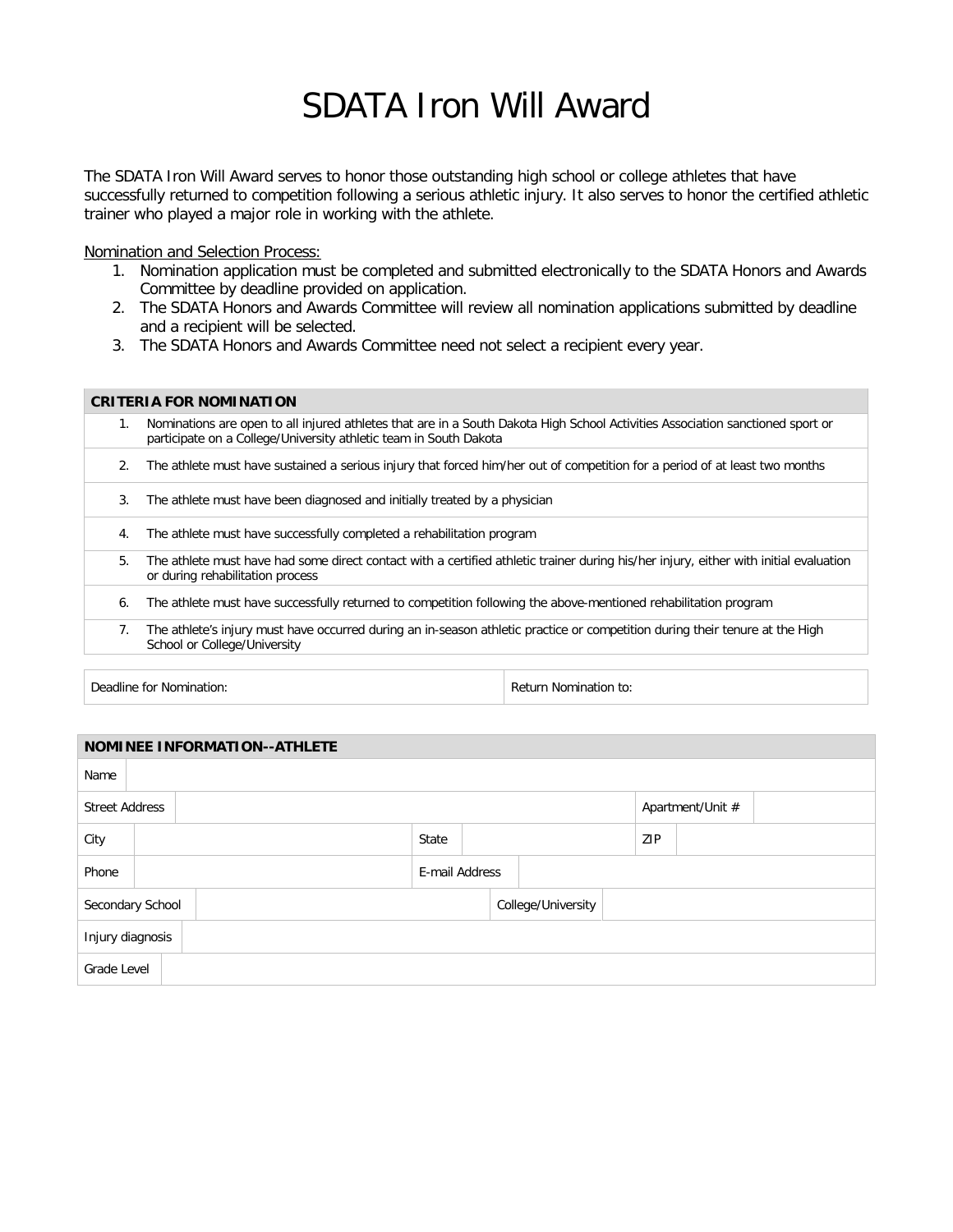## SDATA Iron Will Award

The SDATA Iron Will Award serves to honor those outstanding high school or college athletes that have successfully returned to competition following a serious athletic injury. It also serves to honor the certified athletic trainer who played a major role in working with the athlete.

Nomination and Selection Process:

- 1. Nomination application must be completed and submitted electronically to the SDATA Honors and Awards Committee by deadline provided on application.
- 2. The SDATA Honors and Awards Committee will review all nomination applications submitted by deadline and a recipient will be selected.
- 3. The SDATA Honors and Awards Committee need not select a recipient every year.

|    | <b>CRITERIA FOR NOMINATION</b>                                                                                                                                                                      |
|----|-----------------------------------------------------------------------------------------------------------------------------------------------------------------------------------------------------|
| 1. | Nominations are open to all injured athletes that are in a South Dakota High School Activities Association sanctioned sport or<br>participate on a College/University athletic team in South Dakota |
| 2. | The athlete must have sustained a serious injury that forced him/her out of competition for a period of at least two months                                                                         |
| 3. | The athlete must have been diagnosed and initially treated by a physician                                                                                                                           |
| 4. | The athlete must have successfully completed a rehabilitation program                                                                                                                               |
| 5. | The athlete must have had some direct contact with a certified athletic trainer during his/her injury, either with initial evaluation<br>or during rehabilitation process                           |
| 6. | The athlete must have successfully returned to competition following the above-mentioned rehabilitation program                                                                                     |
| 7. | The athlete's injury must have occurred during an in-season athletic practice or competition during their tenure at the High<br>School or College/University                                        |
|    |                                                                                                                                                                                                     |

Deadline for Nomination: The Contraction of the Return Nomination to: Return Nomination to:

| <b>NOMINEE INFORMATION--ATHLETE</b> |  |                |                    |  |  |  |  |  |     |                  |  |  |
|-------------------------------------|--|----------------|--------------------|--|--|--|--|--|-----|------------------|--|--|
| Name                                |  |                |                    |  |  |  |  |  |     |                  |  |  |
| <b>Street Address</b>               |  |                |                    |  |  |  |  |  |     | Apartment/Unit # |  |  |
| City                                |  |                |                    |  |  |  |  |  | ZIP |                  |  |  |
| Phone                               |  | E-mail Address |                    |  |  |  |  |  |     |                  |  |  |
| Secondary School                    |  |                | College/University |  |  |  |  |  |     |                  |  |  |
| Injury diagnosis                    |  |                |                    |  |  |  |  |  |     |                  |  |  |
| Grade Level                         |  |                |                    |  |  |  |  |  |     |                  |  |  |